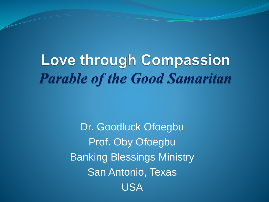# **Love through Compassion Parable of the Good Samaritan**

Dr. Goodluck Ofoegbu Prof. Oby Ofoegbu Banking Blessings Ministry San Antonio, Texas USA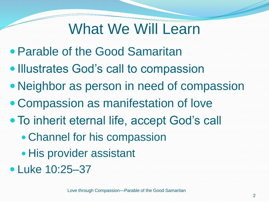## What We Will Learn

- Parable of the Good Samaritan
- Illustrates God's call to compassion
- Neighbor as person in need of compassion
- Compassion as manifestation of love
- To inherit eternal life, accept God's call
	- Channel for his compassion
	- His provider assistant
- Luke 10:25–37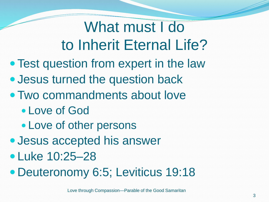# What must I do to Inherit Eternal Life?

- Test question from expert in the law
- Jesus turned the question back
- Two commandments about love
	- Love of God
	- Love of other persons
- Jesus accepted his answer
- **•Luke 10:25–28**
- Deuteronomy 6:5; Leviticus 19:18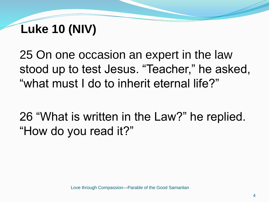25 On one occasion an expert in the law stood up to test Jesus. "Teacher," he asked, "what must I do to inherit eternal life?"

26 "What is written in the Law?" he replied. "How do you read it?"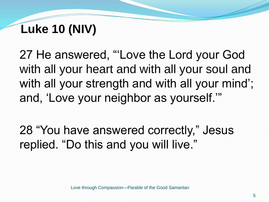27 He answered, "'Love the Lord your God with all your heart and with all your soul and with all your strength and with all your mind'; and, 'Love your neighbor as yourself.'"

28 "You have answered correctly," Jesus replied. "Do this and you will live."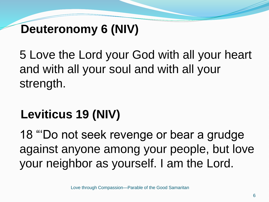#### **Deuteronomy 6 (NIV)**

5 Love the Lord your God with all your heart and with all your soul and with all your strength.

## **Leviticus 19 (NIV)**

18 "'Do not seek revenge or bear a grudge against anyone among your people, but love your neighbor as yourself. I am the Lord.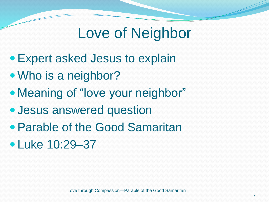## Love of Neighbor

- Expert asked Jesus to explain
- Who is a neighbor?
- Meaning of "love your neighbor"
- Jesus answered question
- Parable of the Good Samaritan
- Luke 10:29–37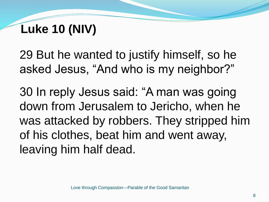29 But he wanted to justify himself, so he asked Jesus, "And who is my neighbor?"

30 In reply Jesus said: "A man was going down from Jerusalem to Jericho, when he was attacked by robbers. They stripped him of his clothes, beat him and went away, leaving him half dead.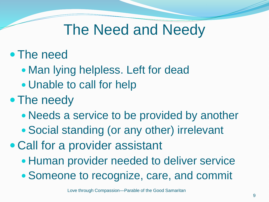## The Need and Needy

#### The need

- Man lying helpless. Left for dead
- Unable to call for help

#### • The needy

- Needs a service to be provided by another
- Social standing (or any other) irrelevant
- Call for a provider assistant
	- Human provider needed to deliver service
	- Someone to recognize, care, and commit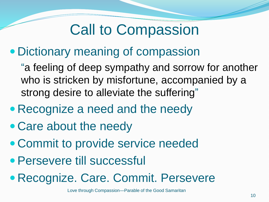# Call to Compassion

#### Dictionary meaning of compassion

"a feeling of deep sympathy and sorrow for another who is stricken by misfortune, accompanied by a strong desire to alleviate the suffering"

- Recognize a need and the needy
- Care about the needy
- Commit to provide service needed
- Persevere till successful
- Recognize. Care. Commit. Persevere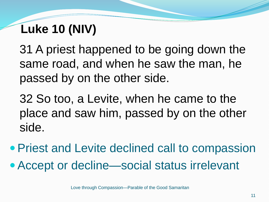31 A priest happened to be going down the same road, and when he saw the man, he passed by on the other side.

32 So too, a Levite, when he came to the place and saw him, passed by on the other side.

- Priest and Levite declined call to compassion
- Accept or decline—social status irrelevant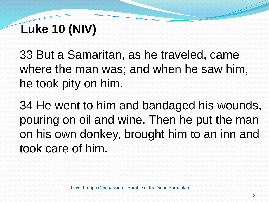33 But a Samaritan, as he traveled, came where the man was; and when he saw him, he took pity on him.

34 He went to him and bandaged his wounds, pouring on oil and wine. Then he put the man on his own donkey, brought him to an inn and took care of him.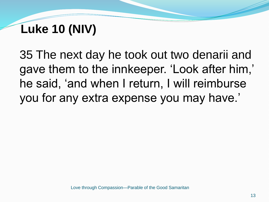35 The next day he took out two denarii and gave them to the innkeeper. 'Look after him,' he said, 'and when I return, I will reimburse you for any extra expense you may have.'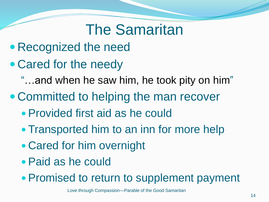## The Samaritan

- Recognized the need
- Cared for the needy
	- "…and when he saw him, he took pity on him"
- Committed to helping the man recover
	- Provided first aid as he could
	- Transported him to an inn for more help
	- Cared for him overnight
	- Paid as he could
	- Promised to return to supplement payment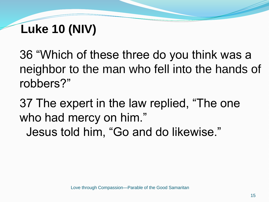36 "Which of these three do you think was a neighbor to the man who fell into the hands of robbers?"

37 The expert in the law replied, "The one who had mercy on him." Jesus told him, "Go and do likewise."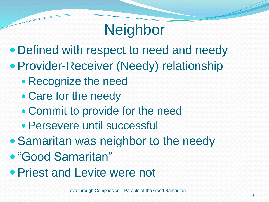# **Neighbor**

- Defined with respect to need and needy
- Provider-Receiver (Needy) relationship
	- Recognize the need
	- Care for the needy
	- Commit to provide for the need
	- Persevere until successful
- Samaritan was neighbor to the needy
- "Good Samaritan"
- Priest and Levite were not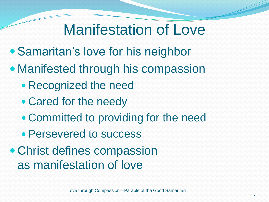## Manifestation of Love

- Samaritan's love for his neighbor
- Manifested through his compassion
	- Recognized the need
	- Cared for the needy
	- Committed to providing for the need
	- Persevered to success
- Christ defines compassion as manifestation of love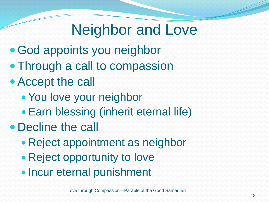# Neighbor and Love

- God appoints you neighbor
- Through a call to compassion
- Accept the call
	- You love your neighbor
	- Earn blessing (inherit eternal life)
- Decline the call
	- Reject appointment as neighbor
	- Reject opportunity to love
	- Incur eternal punishment